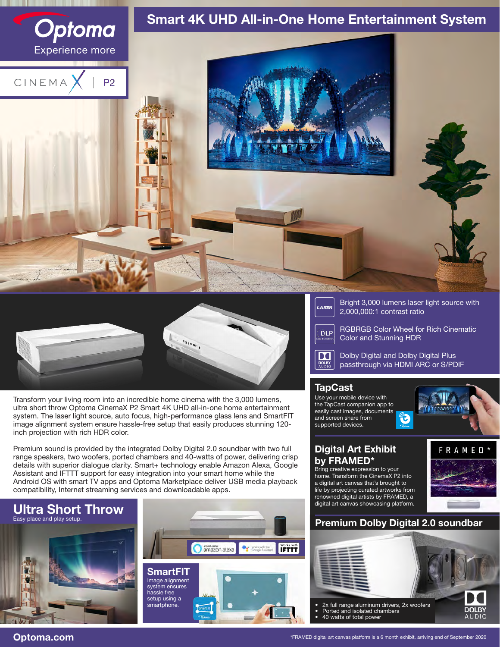



Transform your living room into an incredible home cinema with the 3,000 lumens, ultra short throw Optoma CinemaX P2 Smart 4K UHD all-in-one home entertainment system. The laser light source, auto focus, high-performance glass lens and SmartFIT image alignment system ensure hassle-free setup that easily produces stunning 120 inch projection with rich HDR color.

Premium sound is provided by the integrated Dolby Digital 2.0 soundbar with two full range speakers, two woofers, ported chambers and 40-watts of power, delivering crisp details with superior dialogue clarity. Smart+ technology enable Amazon Alexa, Google Assistant and IFTTT support for easy integration into your smart home while the Android OS with smart TV apps and Optoma Marketplace deliver USB media playback compatibility, Internet streaming services and downloadable apps.

# Ultra Short Throw Easy place and play setup.





Bright 3,000 lumens laser light source with 2,000,000:1 contrast ratio

RGBRGB Color Wheel for Rich Cinematic Color and Stunning HDR

DC

**DLP** 

LASER

Dolby Digital and Dolby Digital Plus passthrough via HDMI ARC or S/PDIF

## **TapCast**

Use your mobile device with the TapCast companion app to easily cast images, documents and screen share from supported devices.



## Digital Art Exhibit by FRAMED\*

Bring creative expression to your home. Transform the CinemaX P2 into a digital art canvas that's brought to life by projecting curated artworks from renowned digital artists by FRAMED, a digital art canvas showcasing platform.



# Premium Dolby Digital 2.0 soundbar



Optoma.com